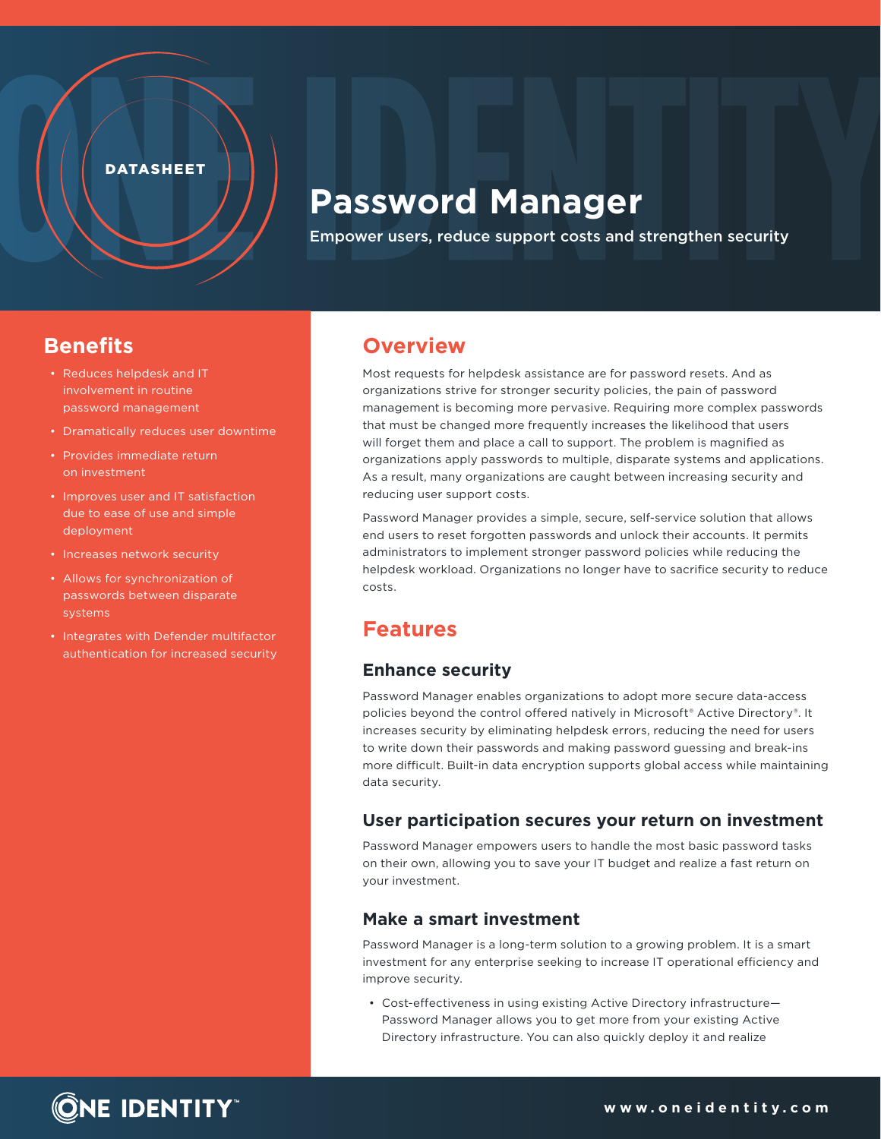#### **DATASHEET**

# **Password Manager**

Empower users, reduce support costs and strengthen security

## **Benefits**

- Reduces helpdesk and IT involvement in routine password management
- Dramatically reduces user downtime
- Provides immediate return on investment
- Improves user and IT satisfaction due to ease of use and simple deployment
- Increases network security
- Allows for synchronization of passwords between disparate systems
- Integrates with Defender multifactor authentication for increased security

## **Overview**

Most requests for helpdesk assistance are for password resets. And as organizations strive for stronger security policies, the pain of password management is becoming more pervasive. Requiring more complex passwords that must be changed more frequently increases the likelihood that users will forget them and place a call to support. The problem is magnified as organizations apply passwords to multiple, disparate systems and applications. As a result, many organizations are caught between increasing security and reducing user support costs.

Password Manager provides a simple, secure, self-service solution that allows end users to reset forgotten passwords and unlock their accounts. It permits administrators to implement stronger password policies while reducing the helpdesk workload. Organizations no longer have to sacrifice security to reduce costs.

# **Features**

#### **Enhance security**

Password Manager enables organizations to adopt more secure data-access policies beyond the control offered natively in Microsoft® Active Directory®. It increases security by eliminating helpdesk errors, reducing the need for users to write down their passwords and making password guessing and break-ins more difficult. Built-in data encryption supports global access while maintaining data security.

#### **User participation secures your return on investment**

Password Manager empowers users to handle the most basic password tasks on their own, allowing you to save your IT budget and realize a fast return on your investment.

#### **Make a smart investment**

Password Manager is a long-term solution to a growing problem. It is a smart investment for any enterprise seeking to increase IT operational efficiency and improve security.

• Cost-effectiveness in using existing Active Directory infrastructure— Password Manager allows you to get more from your existing Active Directory infrastructure. You can also quickly deploy it and realize